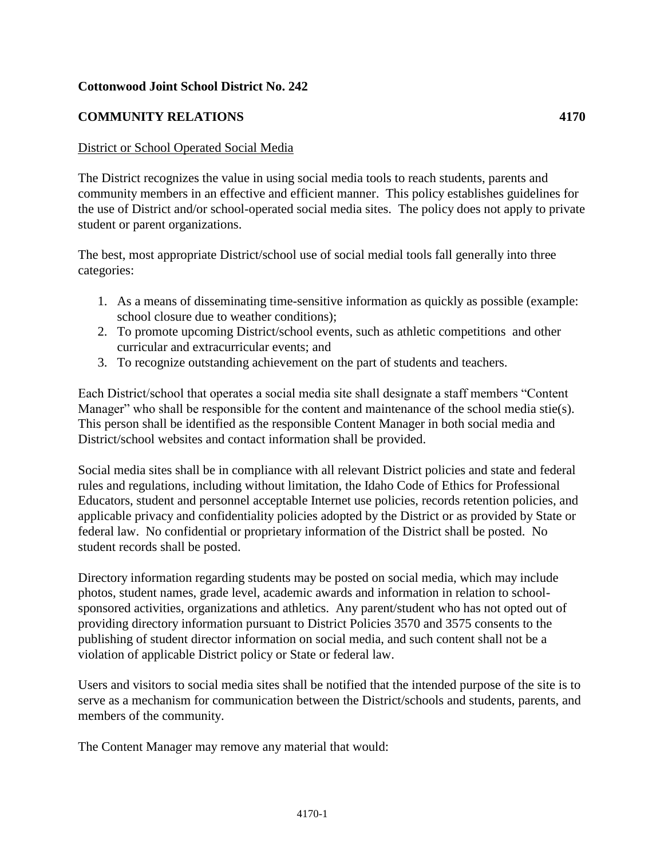## **Cottonwood Joint School District No. 242**

## **COMMUNITY RELATIONS 4170**

## District or School Operated Social Media

The District recognizes the value in using social media tools to reach students, parents and community members in an effective and efficient manner. This policy establishes guidelines for the use of District and/or school-operated social media sites. The policy does not apply to private student or parent organizations.

The best, most appropriate District/school use of social medial tools fall generally into three categories:

- 1. As a means of disseminating time-sensitive information as quickly as possible (example: school closure due to weather conditions);
- 2. To promote upcoming District/school events, such as athletic competitions and other curricular and extracurricular events; and
- 3. To recognize outstanding achievement on the part of students and teachers.

Each District/school that operates a social media site shall designate a staff members "Content Manager" who shall be responsible for the content and maintenance of the school media stie(s). This person shall be identified as the responsible Content Manager in both social media and District/school websites and contact information shall be provided.

Social media sites shall be in compliance with all relevant District policies and state and federal rules and regulations, including without limitation, the Idaho Code of Ethics for Professional Educators, student and personnel acceptable Internet use policies, records retention policies, and applicable privacy and confidentiality policies adopted by the District or as provided by State or federal law. No confidential or proprietary information of the District shall be posted. No student records shall be posted.

Directory information regarding students may be posted on social media, which may include photos, student names, grade level, academic awards and information in relation to schoolsponsored activities, organizations and athletics. Any parent/student who has not opted out of providing directory information pursuant to District Policies 3570 and 3575 consents to the publishing of student director information on social media, and such content shall not be a violation of applicable District policy or State or federal law.

Users and visitors to social media sites shall be notified that the intended purpose of the site is to serve as a mechanism for communication between the District/schools and students, parents, and members of the community.

The Content Manager may remove any material that would: